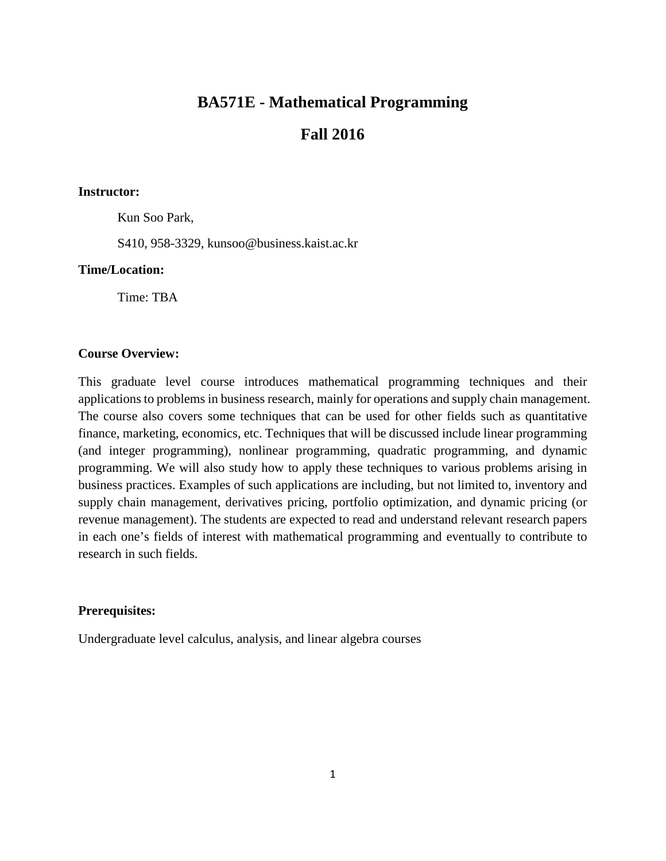# **BA571E - Mathematical Programming**

# **Fall 2016**

#### **Instructor:**

Kun Soo Park,

S410, 958-3329, kunsoo@business.kaist.ac.kr

### **Time/Location:**

Time: TBA

### **Course Overview:**

This graduate level course introduces mathematical programming techniques and their applications to problems in business research, mainly for operations and supply chain management. The course also covers some techniques that can be used for other fields such as quantitative finance, marketing, economics, etc. Techniques that will be discussed include linear programming (and integer programming), nonlinear programming, quadratic programming, and dynamic programming. We will also study how to apply these techniques to various problems arising in business practices. Examples of such applications are including, but not limited to, inventory and supply chain management, derivatives pricing, portfolio optimization, and dynamic pricing (or revenue management). The students are expected to read and understand relevant research papers in each one's fields of interest with mathematical programming and eventually to contribute to research in such fields.

## **Prerequisites:**

Undergraduate level calculus, analysis, and linear algebra courses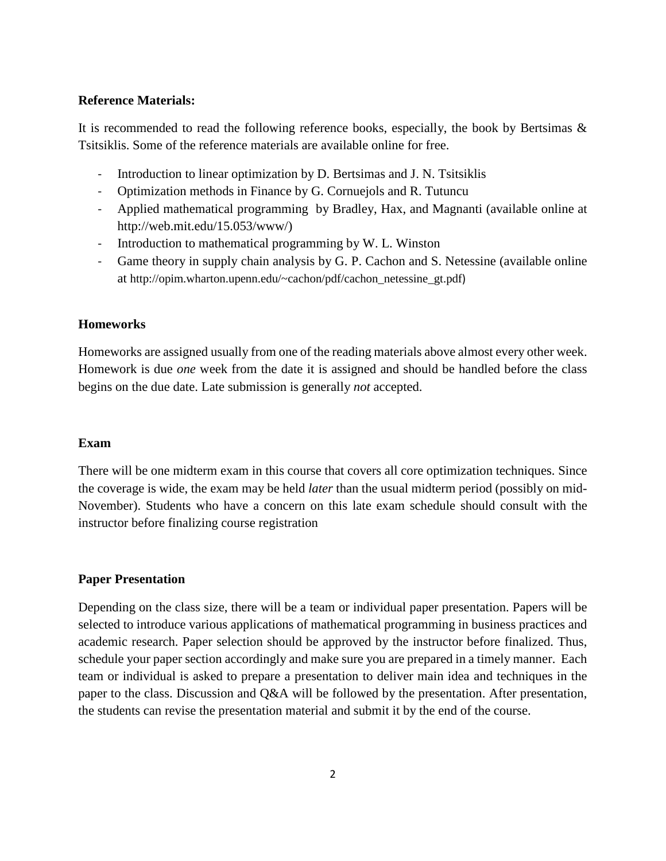#### **Reference Materials:**

It is recommended to read the following reference books, especially, the book by Bertsimas  $\&$ Tsitsiklis. Some of the reference materials are available online for free.

- Introduction to linear optimization by D. Bertsimas and J. N. Tsitsiklis
- Optimization methods in Finance by G. Cornuejols and R. Tutuncu
- Applied mathematical programming by Bradley, Hax, and Magnanti (available online at http://web.mit.edu/15.053/www/)
- Introduction to mathematical programming by W. L. Winston
- Game theory in supply chain analysis by G. P. Cachon and S. Netessine (available online at [http://opim.wharton.upenn.edu/~cachon/pdf/cachon\\_netessine\\_gt.pdf](http://opim.wharton.upenn.edu/%7Ecachon/pdf/cachon_netessine_gt.pdf))

#### **Homeworks**

Homeworks are assigned usually from one of the reading materials above almost every other week. Homework is due *one* week from the date it is assigned and should be handled before the class begins on the due date. Late submission is generally *not* accepted.

#### **Exam**

There will be one midterm exam in this course that covers all core optimization techniques. Since the coverage is wide, the exam may be held *later* than the usual midterm period (possibly on mid-November). Students who have a concern on this late exam schedule should consult with the instructor before finalizing course registration

#### **Paper Presentation**

Depending on the class size, there will be a team or individual paper presentation. Papers will be selected to introduce various applications of mathematical programming in business practices and academic research. Paper selection should be approved by the instructor before finalized. Thus, schedule your paper section accordingly and make sure you are prepared in a timely manner. Each team or individual is asked to prepare a presentation to deliver main idea and techniques in the paper to the class. Discussion and Q&A will be followed by the presentation. After presentation, the students can revise the presentation material and submit it by the end of the course.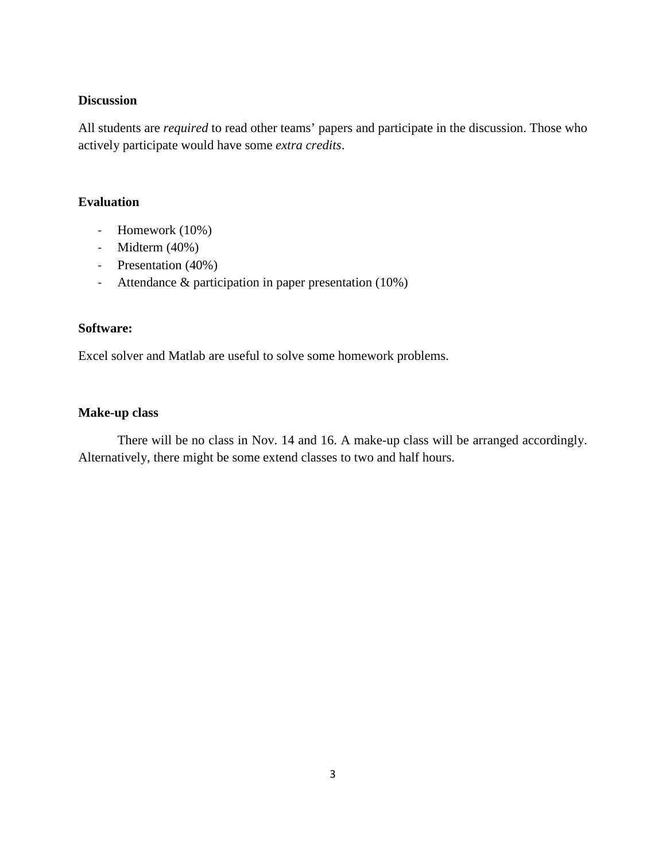#### **Discussion**

All students are *required* to read other teams' papers and participate in the discussion. Those who actively participate would have some *extra credits*.

## **Evaluation**

- Homework (10%)
- Midterm (40%)
- Presentation (40%)
- Attendance & participation in paper presentation (10%)

## **Software:**

Excel solver and Matlab are useful to solve some homework problems.

## **Make-up class**

There will be no class in Nov. 14 and 16. A make-up class will be arranged accordingly. Alternatively, there might be some extend classes to two and half hours.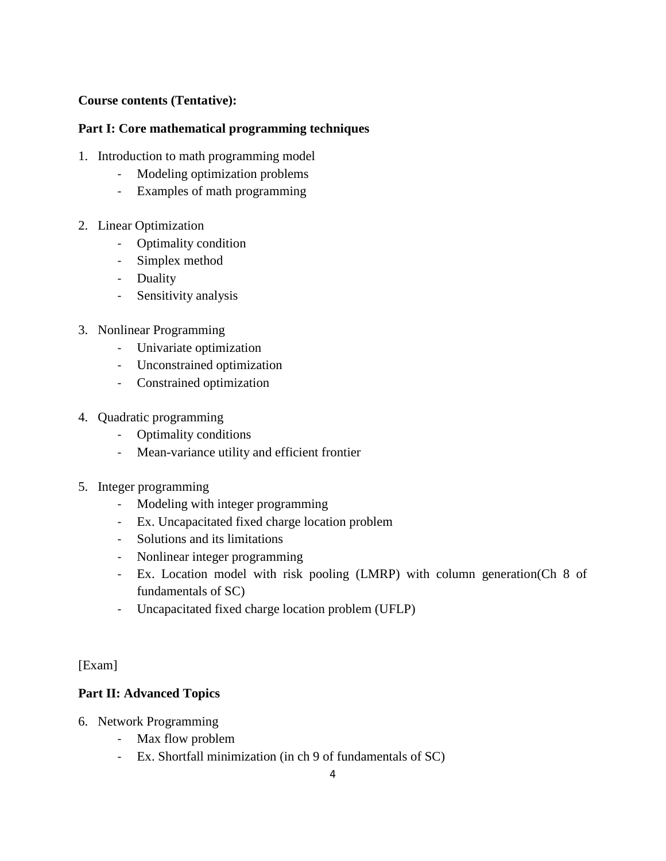## **Course contents (Tentative):**

# **Part I: Core mathematical programming techniques**

- 1. Introduction to math programming model
	- Modeling optimization problems
	- Examples of math programming
- 2. Linear Optimization
	- Optimality condition
	- Simplex method
	- Duality
	- Sensitivity analysis
- 3. Nonlinear Programming
	- Univariate optimization
	- Unconstrained optimization
	- Constrained optimization
- 4. Quadratic programming
	- Optimality conditions
	- Mean-variance utility and efficient frontier
- 5. Integer programming
	- Modeling with integer programming
	- Ex. Uncapacitated fixed charge location problem
	- Solutions and its limitations
	- Nonlinear integer programming
	- Ex. Location model with risk pooling (LMRP) with column generation(Ch 8 of fundamentals of SC)
	- Uncapacitated fixed charge location problem (UFLP)

[Exam]

# **Part II: Advanced Topics**

- 6. Network Programming
	- Max flow problem
	- Ex. Shortfall minimization (in ch 9 of fundamentals of SC)